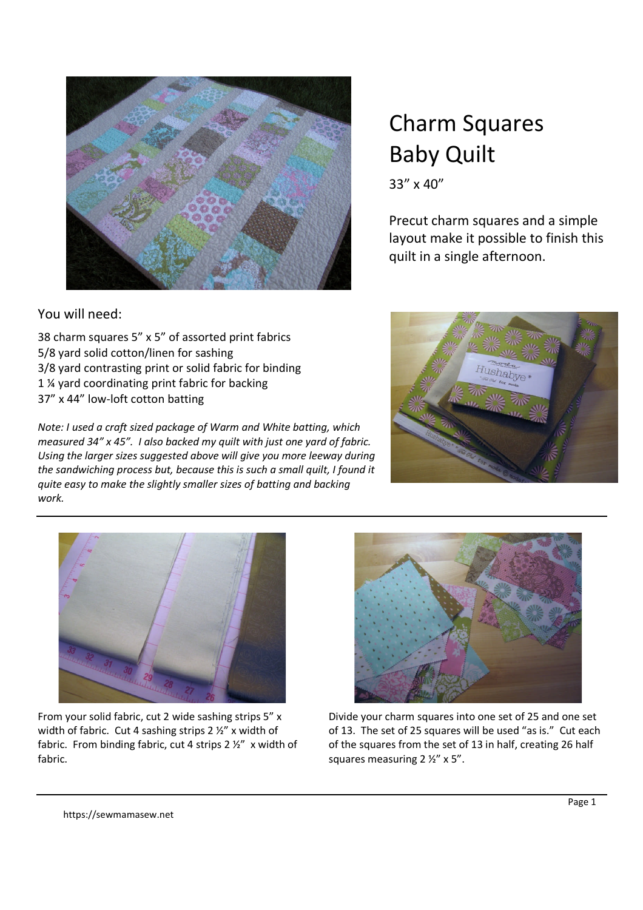

## Charm Squares Baby Quilt

33" x 40"

Precut charm squares and a simple layout make it possible to finish this quilt in a single afternoon.

## You will need:

38 charm squares 5" x 5" of assorted print fabrics 5/8 yard solid cotton/linen for sashing 3/8 yard contrasting print or solid fabric for binding 1 ¼ yard coordinating print fabric for backing 37" x 44" low-loft cotton batting

*Note: I used a craft sized package of Warm and White batting, which measured 34" x 45". I also backed my quilt with just one yard of fabric. Using the larger sizes suggested above will give you more leeway during the sandwiching process but, because this is such a small quilt, I found it quite easy to make the slightly smaller sizes of batting and backing work.*





From your solid fabric, cut 2 wide sashing strips 5" x width of fabric. Cut 4 sashing strips 2 ½" x width of fabric. From binding fabric, cut 4 strips 2 ½" x width of fabric.



Divide your charm squares into one set of 25 and one set of 13. The set of 25 squares will be used "as is." Cut each of the squares from the set of 13 in half, creating 26 half squares measuring 2 ½" x 5".

https://sewmamasew.net